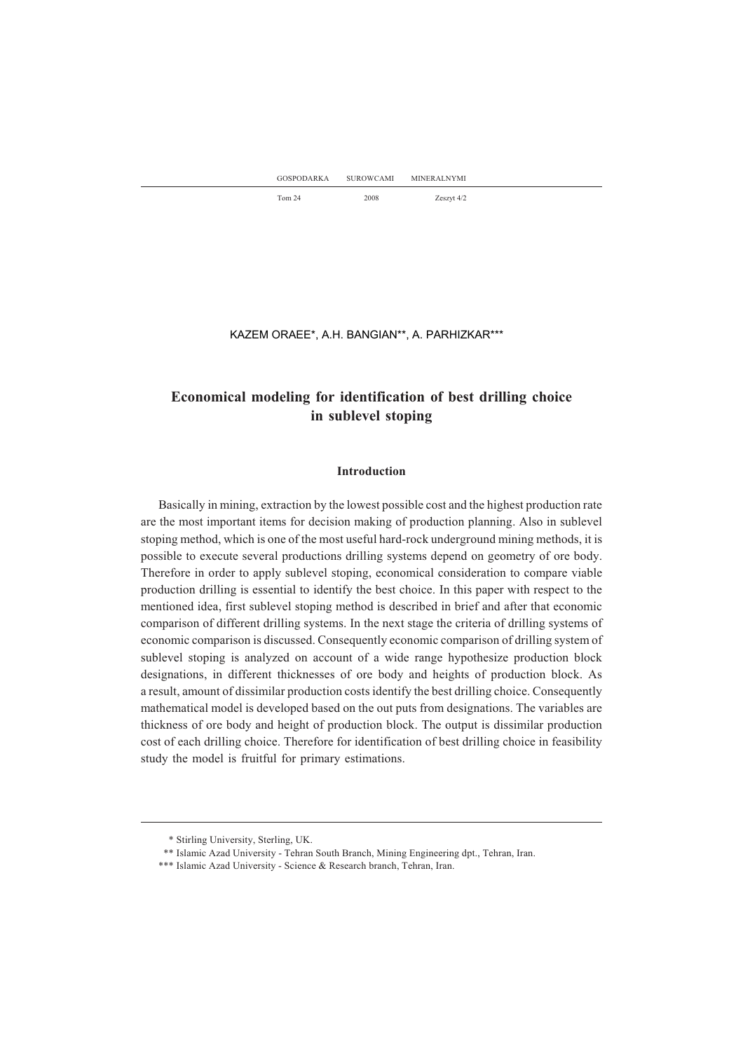K. ORAEE\*, A.H. BANGIAN\*\*, A. PARHIZKAR\*\*\* KAZEM ORAEE\*, A.H. BANGIAN\*\*, A. PARHIZKAR\*\*\*

# **Economical modeling for identification of best drilling choice in sublevel stoping**

## **Introduction**

Basically in mining, extraction by the lowest possible cost and the highest production rate are the most important items for decision making of production planning. Also in sublevel stoping method, which is one of the most useful hard-rock underground mining methods, it is possible to execute several productions drilling systems depend on geometry of ore body. Therefore in order to apply sublevel stoping, economical consideration to compare viable production drilling is essential to identify the best choice. In this paper with respect to the mentioned idea, first sublevel stoping method is described in brief and after that economic comparison of different drilling systems. In the next stage the criteria of drilling systems of economic comparison is discussed. Consequently economic comparison of drilling system of sublevel stoping is analyzed on account of a wide range hypothesize production block designations, in different thicknesses of ore body and heights of production block. As a result, amount of dissimilar production costsidentify the best drilling choice. Consequently mathematical model is developed based on the out puts from designations. The variables are thickness of ore body and height of production block. The output is dissimilar production cost of each drilling choice. Therefore for identification of best drilling choice in feasibility study the model is fruitful for primary estimations.

<sup>\*</sup> Stirling University, Sterling, UK.

<sup>\*\*</sup> Islamic Azad University - Tehran South Branch, Mining Engineering dpt., Tehran, Iran.

<sup>\*\*\*</sup> Islamic Azad University - Science & Research branch, Tehran, Iran.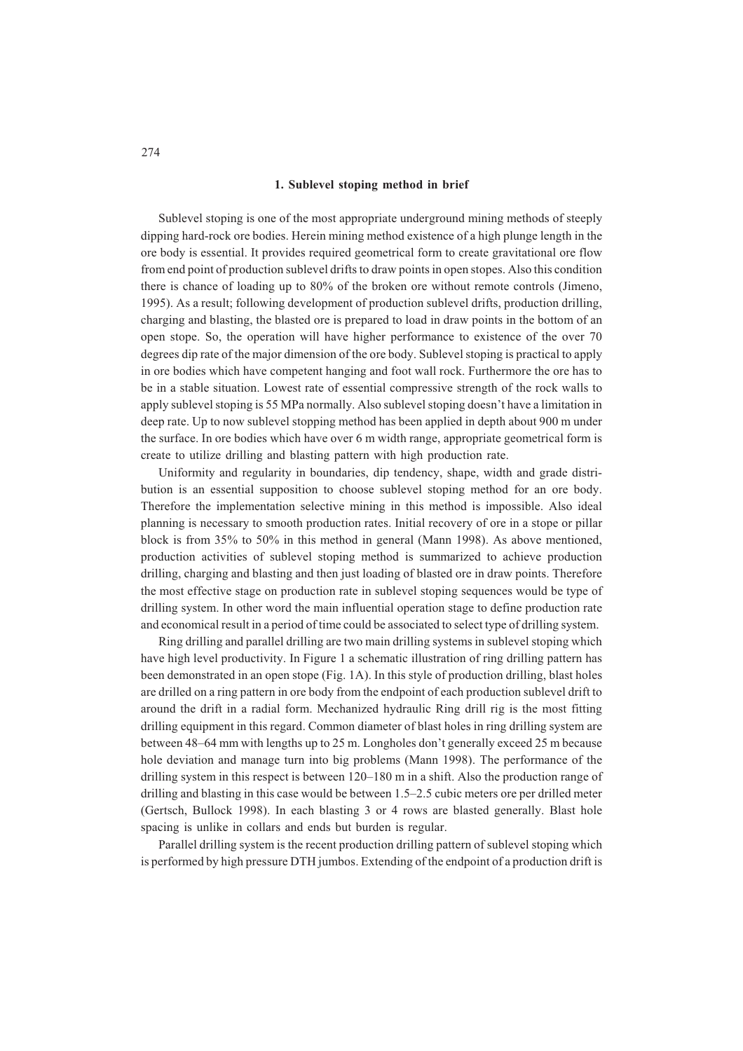### **1. Sublevel stoping method in brief**

Sublevel stoping is one of the most appropriate underground mining methods of steeply dipping hard-rock ore bodies. Herein mining method existence of a high plunge length in the ore body is essential. It provides required geometrical form to create gravitational ore flow from end point of production sublevel drifts to draw points in open stopes. Also this condition there is chance of loading up to 80% of the broken ore without remote controls (Jimeno, 1995). As a result; following development of production sublevel drifts, production drilling, charging and blasting, the blasted ore is prepared to load in draw points in the bottom of an open stope. So, the operation will have higher performance to existence of the over 70 degrees dip rate of the major dimension of the ore body. Sublevel stoping is practical to apply in ore bodies which have competent hanging and foot wall rock. Furthermore the ore has to be in a stable situation. Lowest rate of essential compressive strength of the rock walls to apply sublevel stoping is 55 MPa normally. Also sublevel stoping doesn't have a limitation in deep rate. Up to now sublevel stopping method has been applied in depth about 900 m under the surface. In ore bodies which have over 6 m width range, appropriate geometrical form is create to utilize drilling and blasting pattern with high production rate.

Uniformity and regularity in boundaries, dip tendency, shape, width and grade distribution is an essential supposition to choose sublevel stoping method for an ore body. Therefore the implementation selective mining in this method is impossible. Also ideal planning is necessary to smooth production rates. Initial recovery of ore in a stope or pillar block is from 35% to 50% in this method in general (Mann 1998). As above mentioned, production activities of sublevel stoping method is summarized to achieve production drilling, charging and blasting and then just loading of blasted ore in draw points. Therefore the most effective stage on production rate in sublevel stoping sequences would be type of drilling system. In other word the main influential operation stage to define production rate and economical result in a period of time could be associated to select type of drilling system.

Ring drilling and parallel drilling are two main drilling systems in sublevel stoping which have high level productivity. In Figure 1 a schematic illustration of ring drilling pattern has been demonstrated in an open stope (Fig. 1A). In this style of production drilling, blast holes are drilled on a ring pattern in ore body from the endpoint of each production sublevel drift to around the drift in a radial form. Mechanized hydraulic Ring drill rig is the most fitting drilling equipment in this regard. Common diameter of blast holes in ring drilling system are between 48–64 mm with lengths up to 25 m. Longholes don't generally exceed 25 m because hole deviation and manage turn into big problems (Mann 1998). The performance of the drilling system in this respect is between 120–180 m in a shift. Also the production range of drilling and blasting in this case would be between 1.5–2.5 cubic meters ore per drilled meter (Gertsch, Bullock 1998). In each blasting 3 or 4 rows are blasted generally. Blast hole spacing is unlike in collars and ends but burden is regular.

Parallel drilling system is the recent production drilling pattern of sublevel stoping which is performed by high pressure DTH jumbos. Extending of the endpoint of a production drift is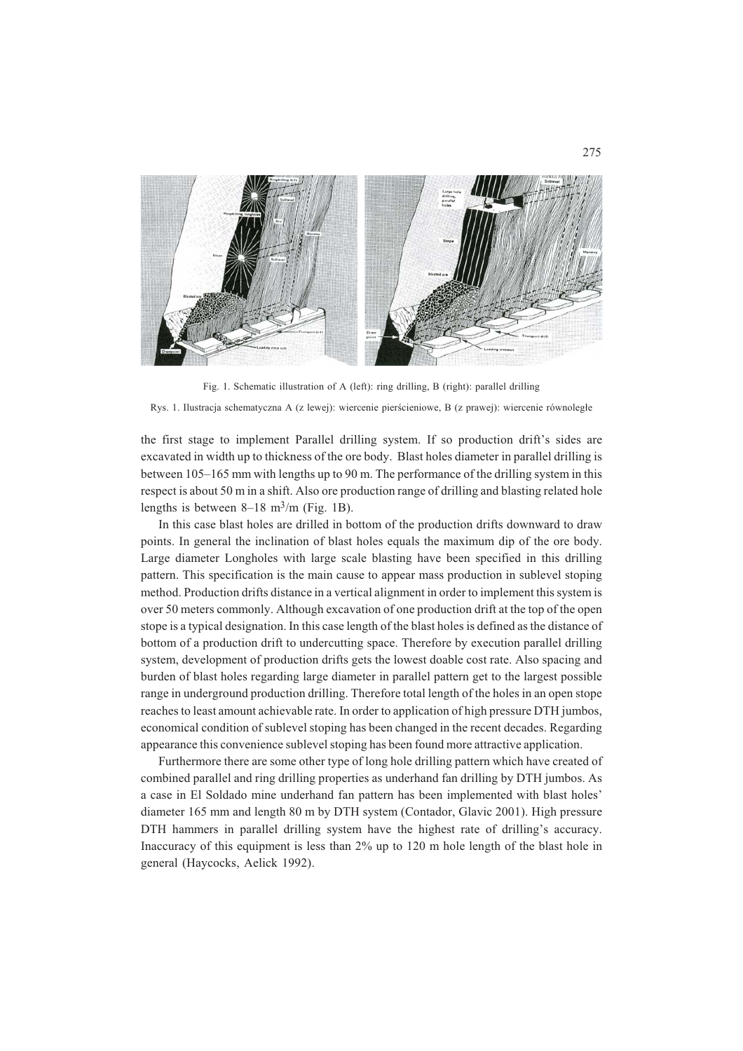

Fig. 1. Schematic illustration of A (left): ring drilling, B (right): parallel drilling Rys. 1. Ilustracja schematyczna A (z lewej): wiercenie pierścieniowe, B (z prawej): wiercenie równoległe

the first stage to implement Parallel drilling system. If so production drift's sides are excavated in width up to thickness of the ore body. Blast holes diameter in parallel drilling is between 105–165 mm with lengths up to 90 m. The performance of the drilling system in this respect is about 50 m in a shift. Also ore production range of drilling and blasting related hole lengths is between  $8-18$  m<sup>3</sup>/m (Fig. 1B).

In this case blast holes are drilled in bottom of the production drifts downward to draw points. In general the inclination of blast holes equals the maximum dip of the ore body. Large diameter Longholes with large scale blasting have been specified in this drilling pattern. This specification is the main cause to appear mass production in sublevel stoping method. Production drifts distance in a vertical alignment in order to implement this system is over 50 meters commonly. Although excavation of one production drift at the top of the open stope is a typical designation. In this case length of the blast holes is defined as the distance of bottom of a production drift to undercutting space. Therefore by execution parallel drilling system, development of production drifts gets the lowest doable cost rate. Also spacing and burden of blast holes regarding large diameter in parallel pattern get to the largest possible range in underground production drilling. Therefore total length of the holes in an open stope reaches to least amount achievable rate. In order to application of high pressure DTH jumbos, economical condition of sublevel stoping has been changed in the recent decades. Regarding appearance this convenience sublevel stoping has been found more attractive application.

Furthermore there are some other type of long hole drilling pattern which have created of combined parallel and ring drilling properties as underhand fan drilling by DTH jumbos. As a case in El Soldado mine underhand fan pattern has been implemented with blast holes' diameter 165 mm and length 80 m by DTH system (Contador, Glavic 2001). High pressure DTH hammers in parallel drilling system have the highest rate of drilling's accuracy. Inaccuracy of this equipment is less than 2% up to 120 m hole length of the blast hole in general (Haycocks, Aelick 1992).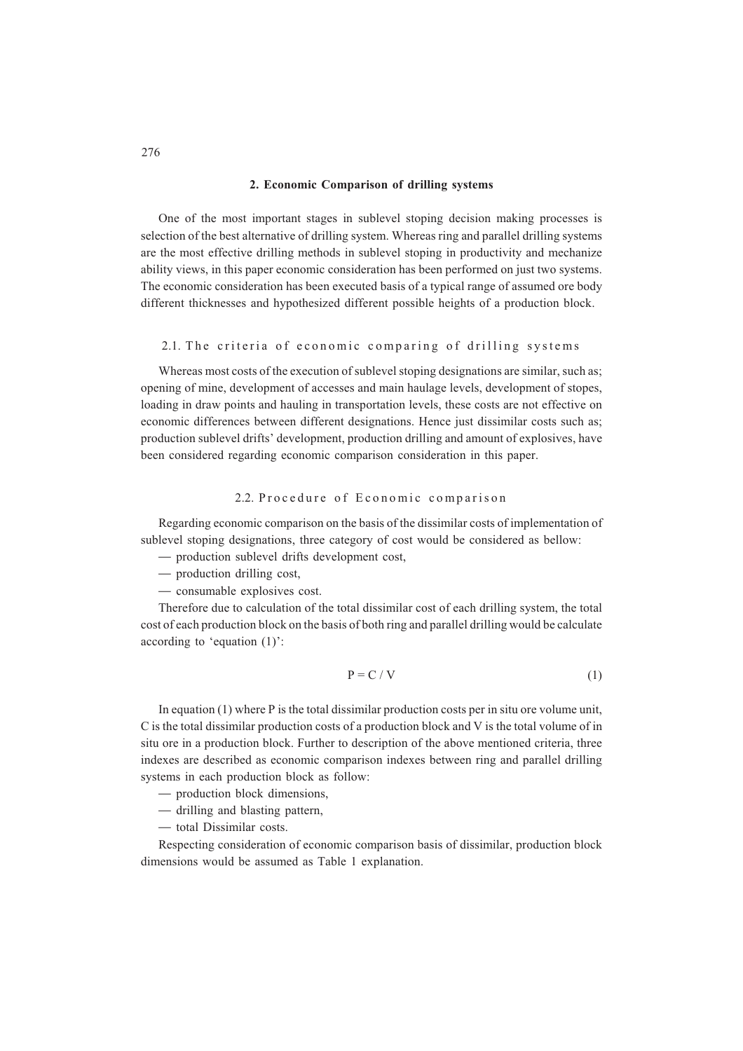### **2. Economic Comparison of drilling systems**

One of the most important stages in sublevel stoping decision making processes is selection of the best alternative of drilling system. Whereas ring and parallel drilling systems are the most effective drilling methods in sublevel stoping in productivity and mechanize ability views, in this paper economic consideration has been performed on just two systems. The economic consideration has been executed basis of a typical range of assumed ore body different thicknesses and hypothesized different possible heights of a production block.

## 2.1. The criteria of economic comparing of drilling systems

Whereas most costs of the execution of sublevel stoping designations are similar, such as; opening of mine, development of accesses and main haulage levels, development of stopes, loading in draw points and hauling in transportation levels, these costs are not effective on economic differences between different designations. Hence just dissimilar costs such as; production sublevel drifts' development, production drilling and amount of explosives, have been considered regarding economic comparison consideration in this paper.

## 2.2. Procedure of Economic comparison

Regarding economic comparison on the basis of the dissimilar costs of implementation of sublevel stoping designations, three category of cost would be considered as bellow:

- production sublevel drifts development cost,
- production drilling cost,
- consumable explosives cost.

Therefore due to calculation of the total dissimilar cost of each drilling system, the total cost of each production block on the basis of both ring and parallel drilling would be calculate according to 'equation (1)':

$$
P = C / V \tag{1}
$$

In equation (1) where P is the total dissimilar production costs per in situ ore volume unit, C is the total dissimilar production costs of a production block and V is the total volume of in situ ore in a production block. Further to description of the above mentioned criteria, three indexes are described as economic comparison indexes between ring and parallel drilling systems in each production block as follow:

- production block dimensions,
- drilling and blasting pattern,
- total Dissimilar costs.

Respecting consideration of economic comparison basis of dissimilar, production block dimensions would be assumed as Table 1 explanation.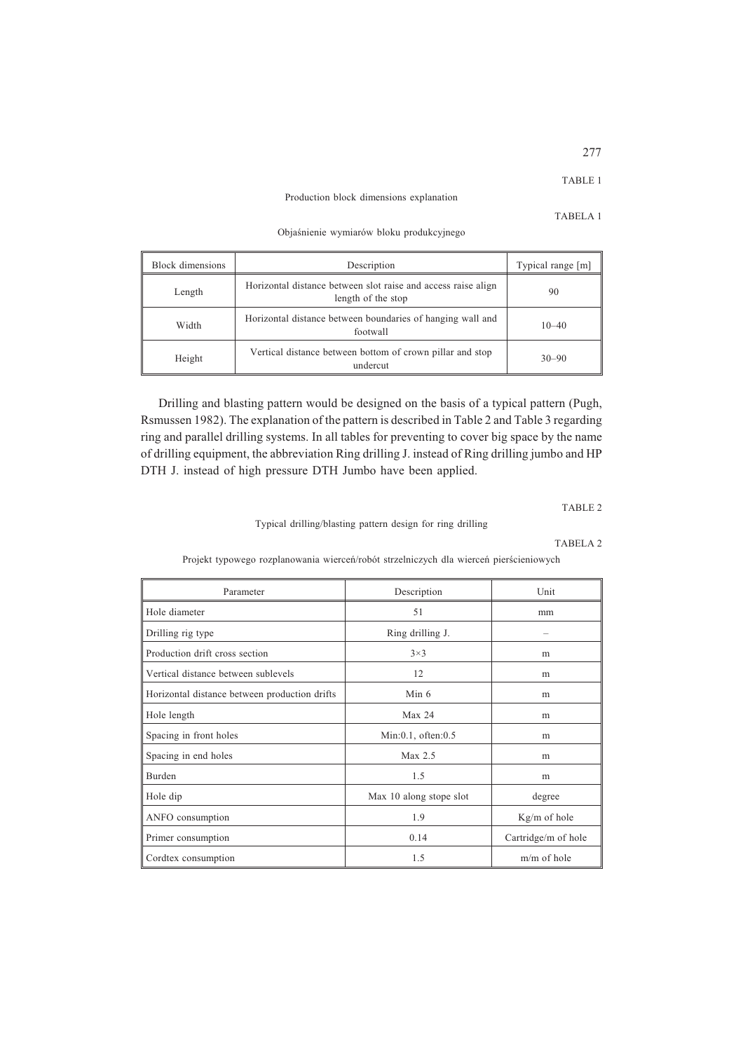## Production block dimensions explanation

Objaśnienie wymiarów bloku produkcyjnego

| Block dimensions | Description                                                                         | Typical range [m] |
|------------------|-------------------------------------------------------------------------------------|-------------------|
| Length           | Horizontal distance between slot raise and access raise align<br>length of the stop | 90                |
| Width            | Horizontal distance between boundaries of hanging wall and<br>footwall              | $10 - 40$         |
| Height           | Vertical distance between bottom of crown pillar and stop<br>undercut               |                   |

Drilling and blasting pattern would be designed on the basis of a typical pattern (Pugh, Rsmussen 1982). The explanation of the pattern is described in Table 2 and Table 3 regarding ring and parallel drilling systems. In all tables for preventing to cover big space by the name of drilling equipment, the abbreviation Ring drilling J. instead of Ring drilling jumbo and HP DTH J. instead of high pressure DTH Jumbo have been applied.

TABLE 2

Typical drilling/blasting pattern design for ring drilling

### TABELA 2

Projekt typowego rozplanowania wierceń/robót strzelniczych dla wierceń pierścieniowych

| Parameter                                     | Description              | Unit                |
|-----------------------------------------------|--------------------------|---------------------|
| Hole diameter                                 | 51                       | mm                  |
| Drilling rig type                             | Ring drilling J.         |                     |
| Production drift cross section                | $3\times3$               | m                   |
| Vertical distance between sublevels           | 12                       | m                   |
| Horizontal distance between production drifts | Min 6                    | m                   |
| Hole length                                   | Max 24                   | m                   |
| Spacing in front holes                        | $Min:0.1$ , often: $0.5$ | m                   |
| Spacing in end holes                          | Max 2.5                  | m                   |
| Burden                                        | 1.5                      | m                   |
| Hole dip                                      | Max 10 along stope slot  | degree              |
| ANFO consumption                              | 1.9                      | Kg/m of hole        |
| Primer consumption                            | 0.14                     | Cartridge/m of hole |
| Cordtex consumption                           | 1.5                      | m/m of hole         |

277

TABELA 1

TABLE 1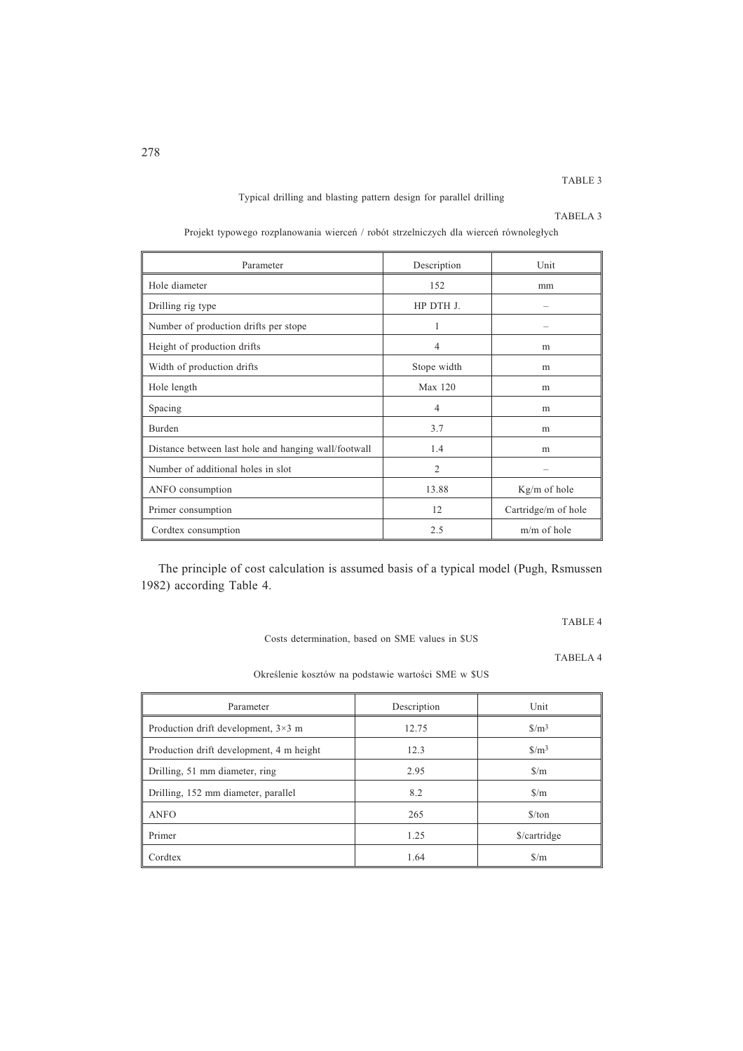# TABLE 3

## Typical drilling and blasting pattern design for parallel drilling

| ™ABEL<br>T |  |
|------------|--|
|            |  |

| Parameter                                            | Description    | Unit                |
|------------------------------------------------------|----------------|---------------------|
| Hole diameter                                        | 152            | mm                  |
| Drilling rig type                                    | HP DTH J.      |                     |
| Number of production drifts per stope                | 1              |                     |
| Height of production drifts                          | 4              | m                   |
| Width of production drifts                           | Stope width    | m                   |
| Hole length                                          | Max 120        | m                   |
| Spacing                                              | $\overline{4}$ | m                   |
| Burden                                               | 3.7            | m                   |
| Distance between last hole and hanging wall/footwall | 1.4            | m                   |
| Number of additional holes in slot                   | $\overline{2}$ |                     |
| ANFO consumption                                     | 13.88          | $Kg/m$ of hole      |
| Primer consumption                                   | 12             | Cartridge/m of hole |
| Cordtex consumption                                  | 2.5            | $m/m$ of hole       |

Projekt typowego rozplanowania wierceń / robót strzelniczych dla wierceń równoległych

The principle of cost calculation is assumed basis of a typical model (Pugh, Rsmussen 1982) according Table 4.

TABLE 4

Costs determination, based on SME values in \$US

TABELA 4

Określenie kosztów na podstawie wartości SME w \$US

| Parameter                                  | Description | Unit                          |
|--------------------------------------------|-------------|-------------------------------|
| Production drift development, $3\times3$ m | 12.75       | S/m <sup>3</sup>              |
| Production drift development, 4 m height   | 12.3        | $\frac{\text{S}}{\text{m}^3}$ |
| Drilling, 51 mm diameter, ring             | 2.95        | $\frac{\text{S}}{\text{m}}$   |
| Drilling, 152 mm diameter, parallel        | 8.2         | $\frac{\text{S}}{\text{m}}$   |
| <b>ANFO</b>                                | 265         | $\frac{\text{S}}{\text{ton}}$ |
| Primer                                     | 1.25        | \$/cartridge                  |
| Cordtex                                    | 1.64        | $\frac{\text{S}}{\text{m}}$   |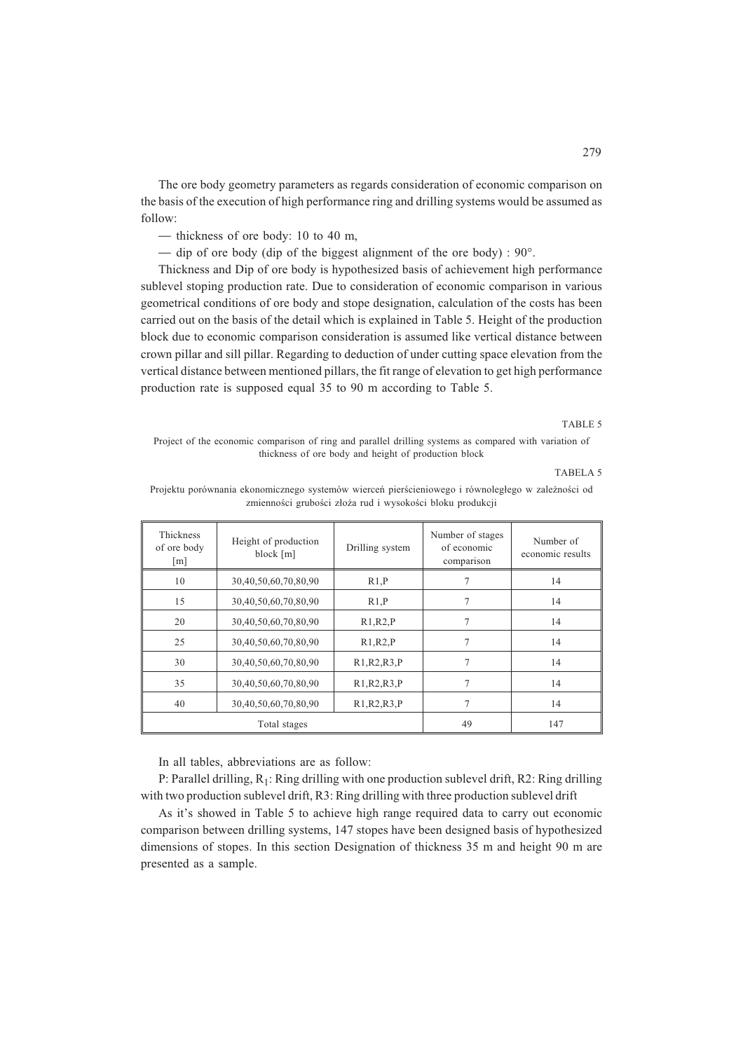The ore body geometry parameters as regards consideration of economic comparison on the basis of the execution of high performance ring and drilling systems would be assumed as follow:

- thickness of ore body: 10 to 40 m,
- dip of ore body (dip of the biggest alignment of the ore body) :  $90^\circ$ .

Thickness and Dip of ore body is hypothesized basis of achievement high performance sublevel stoping production rate. Due to consideration of economic comparison in various geometrical conditions of ore body and stope designation, calculation of the costs has been carried out on the basis of the detail which is explained in Table 5. Height of the production block due to economic comparison consideration is assumed like vertical distance between crown pillar and sill pillar. Regarding to deduction of under cutting space elevation from the vertical distance between mentioned pillars, the fit range of elevation to get high performance production rate is supposed equal 35 to 90 m according to Table 5.

# TABLE 5

Project of the economic comparison of ring and parallel drilling systems as compared with variation of thickness of ore body and height of production block

### TABELA 5

Projektu porównania ekonomicznego systemów wierceń pierścieniowego i równoległego w zależności od zmienności grubości złoża rud i wysokości bloku produkcji

| Thickness<br>of ore body<br>$\lceil m \rceil$ | Height of production<br>block [m] | Drilling system | Number of stages<br>of economic<br>comparison | Number of<br>economic results |
|-----------------------------------------------|-----------------------------------|-----------------|-----------------------------------------------|-------------------------------|
| 10                                            | 30,40,50,60,70,80,90              | R1.P            |                                               | 14                            |
| 15                                            | 30,40,50,60,70,80,90              | R1.P            | 7                                             | 14                            |
| 20                                            | 30,40,50,60,70,80,90              | R1, R2, P       |                                               | 14                            |
| 25                                            | 30,40,50,60,70,80,90              | R1, R2, P       | 7                                             | 14                            |
| 30                                            | 30,40,50,60,70,80,90              | R1, R2, R3, P   | 7                                             | 14                            |
| 35                                            | 30,40,50,60,70,80,90              | R1, R2, R3, P   | 7                                             | 14                            |
| 40                                            | 30,40,50,60,70,80,90              | R1, R2, R3, P   | 7                                             | 14                            |
|                                               | Total stages                      |                 | 49                                            | 147                           |

In all tables, abbreviations are as follow:

P: Parallel drilling, R<sub>1</sub>: Ring drilling with one production sublevel drift, R2: Ring drilling with two production sublevel drift, R3: Ring drilling with three production sublevel drift

As it's showed in Table 5 to achieve high range required data to carry out economic comparison between drilling systems, 147 stopes have been designed basis of hypothesized dimensions of stopes. In this section Designation of thickness 35 m and height 90 m are presented as a sample.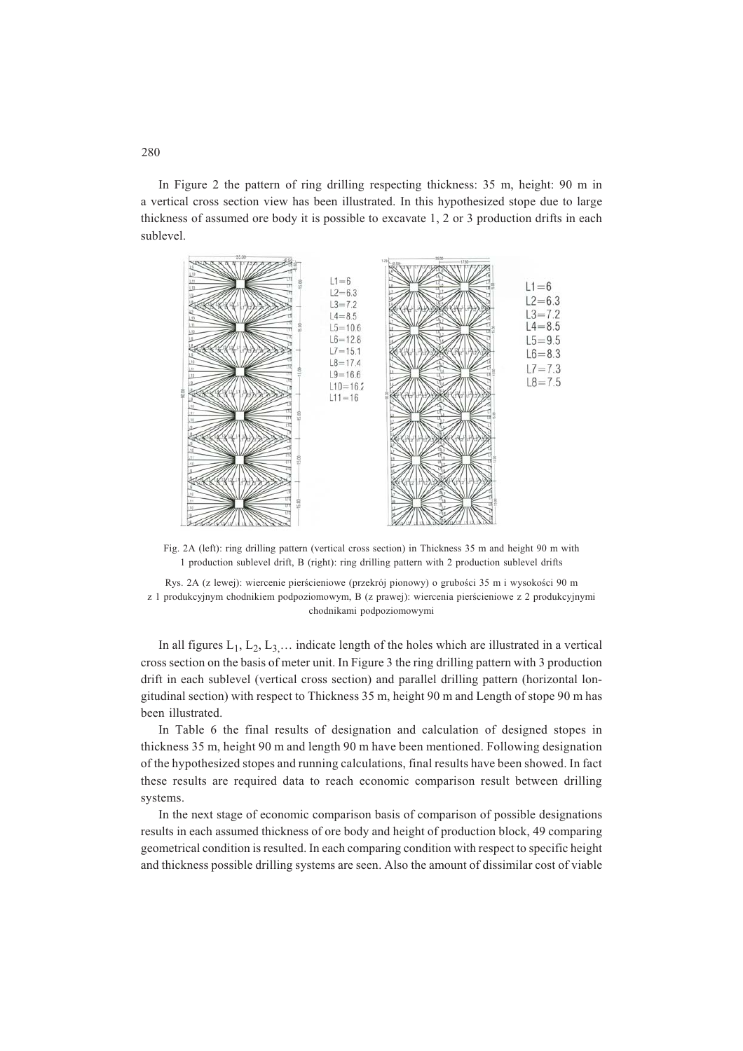In Figure 2 the pattern of ring drilling respecting thickness: 35 m, height: 90 m in a vertical cross section view has been illustrated. In this hypothesized stope due to large thickness of assumed ore body it is possible to excavate 1, 2 or 3 production drifts in each sublevel.



Fig. 2A (left): ring drilling pattern (vertical cross section) in Thickness 35 m and height 90 m with 1 production sublevel drift, B (right): ring drilling pattern with 2 production sublevel drifts

Rys. 2A (z lewej): wiercenie pierścieniowe (przekrój pionowy) o grubości 35 m i wysokości 90 m z 1 produkcyjnym chodnikiem podpoziomowym, B (z prawej): wiercenia pierścieniowe z 2 produkcyjnymi chodnikami podpoziomowymi

In all figures  $L_1, L_2, L_3, \ldots$  indicate length of the holes which are illustrated in a vertical cross section on the basis of meter unit. In Figure 3 the ring drilling pattern with 3 production drift in each sublevel (vertical cross section) and parallel drilling pattern (horizontal longitudinal section) with respect to Thickness 35 m, height 90 m and Length of stope 90 m has been illustrated.

In Table 6 the final results of designation and calculation of designed stopes in thickness 35 m, height 90 m and length 90 m have been mentioned. Following designation of the hypothesized stopes and running calculations, final results have been showed. In fact these results are required data to reach economic comparison result between drilling systems.

In the next stage of economic comparison basis of comparison of possible designations results in each assumed thickness of ore body and height of production block, 49 comparing geometrical condition is resulted. In each comparing condition with respect to specific height and thickness possible drilling systems are seen. Also the amount of dissimilar cost of viable

280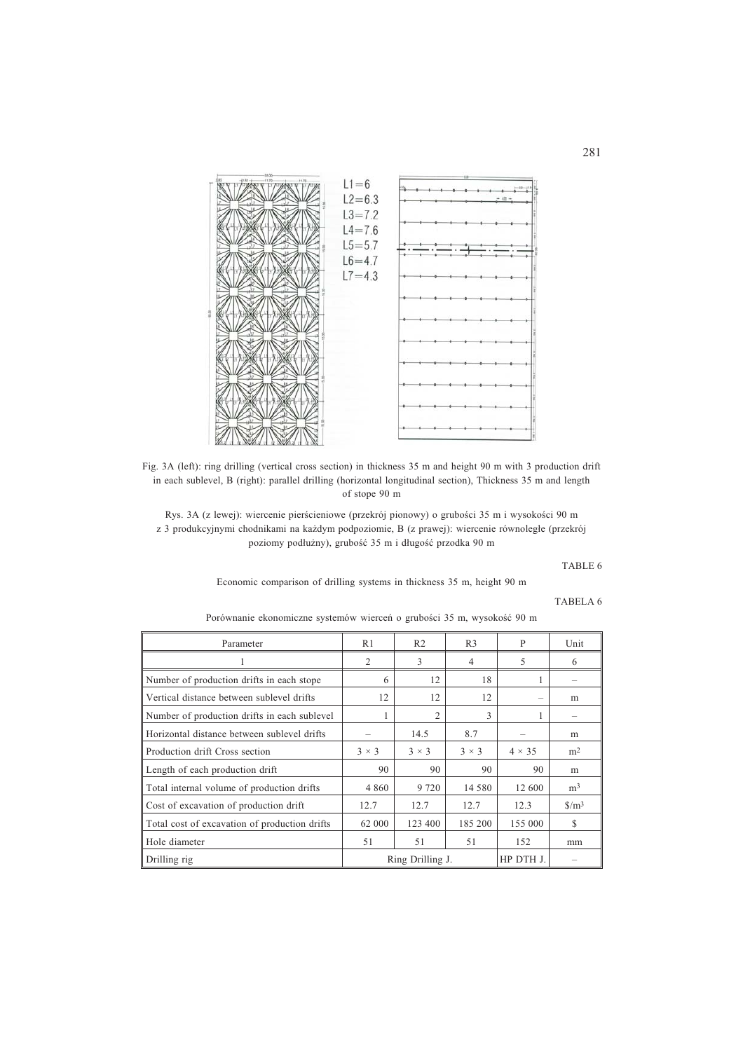

Fig. 3A (left): ring drilling (vertical cross section) in thickness 35 m and height 90 m with 3 production drift in each sublevel, B (right): parallel drilling (horizontal longitudinal section), Thickness 35 m and length of stope 90 m

Rys. 3A (z lewej): wiercenie pierścieniowe (przekrój pionowy) o grubości 35 m i wysokości 90 m z 3 produkcyjnymi chodnikami na każdym podpoziomie, B (z prawej): wiercenie równoległe (przekrój poziomy podłużny), grubość 35 m i długość przodka 90 m

### TABLE 6

Economic comparison of drilling systems in thickness 35 m, height 90 m

## TABELA 6

Porównanie ekonomiczne systemów wierceń o grubości 35 m, wysokość 90 m

| Parameter                                     | R <sub>1</sub>   | R <sub>2</sub> | R <sub>3</sub> | P             | Unit                          |
|-----------------------------------------------|------------------|----------------|----------------|---------------|-------------------------------|
| 1                                             | 2                | 3              | 4              | 5             | 6                             |
| Number of production drifts in each stope     | 6                | 12             | 18             |               | -                             |
| Vertical distance between sublevel drifts     | 12               | 12             | 12             |               | m                             |
| Number of production drifts in each sublevel  |                  | 2              | 3              |               | -                             |
| Horizontal distance between sublevel drifts   |                  | 14.5           | 8.7            |               | m                             |
| Production drift Cross section                | $3 \times 3$     | $3 \times 3$   | $3 \times 3$   | $4 \times 35$ | m <sup>2</sup>                |
| Length of each production drift               | 90               | 90             | 90             | 90            | m                             |
| Total internal volume of production drifts    | 4 8 6 0          | 9 7 2 0        | 14 580         | 12 600        | m <sup>3</sup>                |
| Cost of excavation of production drift        | 12.7             | 12.7           | 12.7           | 12.3          | $\frac{\text{S}}{\text{m}^3}$ |
| Total cost of excavation of production drifts | 62 000           | 123 400        | 185 200        | 155 000       | \$                            |
| Hole diameter                                 | 51               | 51             | 51             | 152           | mm                            |
| Drilling rig                                  | Ring Drilling J. |                |                | HP DTH J.     |                               |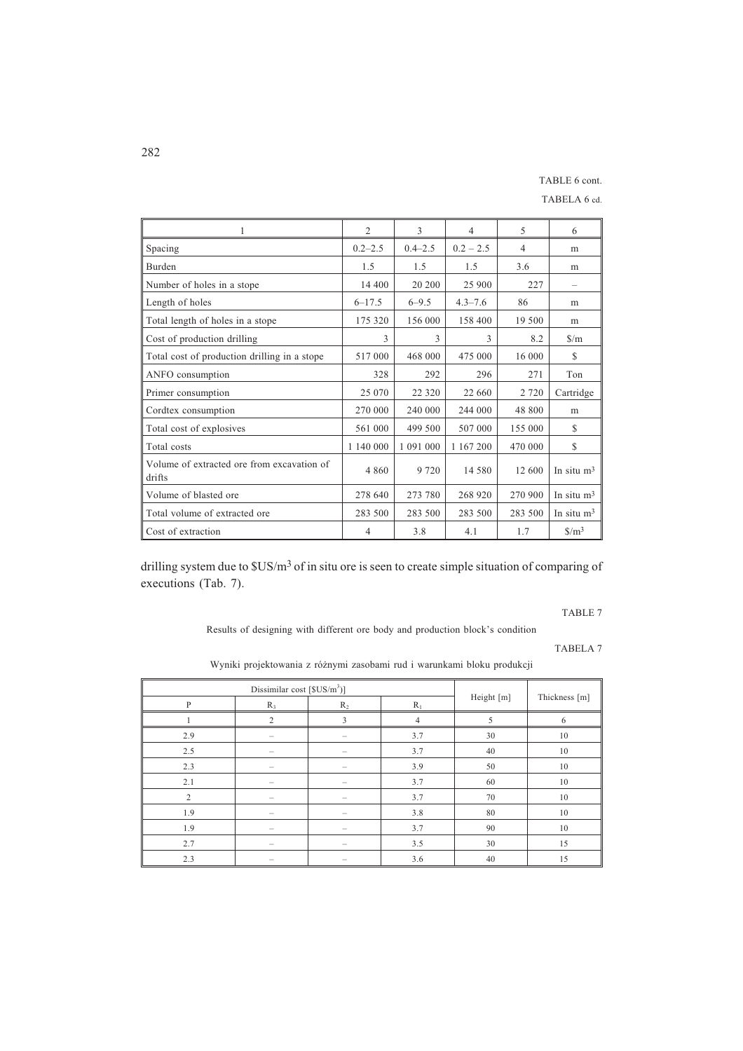# TABLE 6 cont.

TABELA 6 cd.

| 1                                                    | $\overline{c}$ | 3           | $\overline{4}$ | 5              | 6                             |
|------------------------------------------------------|----------------|-------------|----------------|----------------|-------------------------------|
| Spacing                                              | $0.2 - 2.5$    | $0.4 - 2.5$ | $0.2 - 2.5$    | $\overline{4}$ | m                             |
| <b>Burden</b>                                        | 1.5            | 1.5         | 1.5            | 3.6            | m                             |
| Number of holes in a stope                           | 14 400         | 20 200      | 25 900         | 227            |                               |
| Length of holes                                      | $6 - 17.5$     | $6 - 9.5$   | $4.3 - 7.6$    | 86             | m                             |
| Total length of holes in a stope                     | 175 320        | 156 000     | 158 400        | 19 500         | m                             |
| Cost of production drilling                          | 3              | 3           | 3              | 8.2            | $\frac{\text{S}}{\text{m}}$   |
| Total cost of production drilling in a stope         | 517 000        | 468 000     | 475 000        | 16 000         | $\mathbb{S}$                  |
| ANFO consumption                                     | 328            | 292         | 296            | 271            | Ton                           |
| Primer consumption                                   | 25 070         | 22 3 20     | 22 660         | 2 7 2 0        | Cartridge                     |
| Cordtex consumption                                  | 270 000        | 240 000     | 244 000        | 48 800         | m                             |
| Total cost of explosives                             | 561 000        | 499 500     | 507 000        | 155 000        | \$                            |
| Total costs                                          | 1 140 000      | 1 091 000   | 1 167 200      | 470 000        | S                             |
| Volume of extracted ore from excavation of<br>drifts | 4 8 6 0        | 9 7 2 0     | 14 580         | 12 600         | In situ $m3$                  |
| Volume of blasted ore                                | 278 640        | 273 780     | 268 920        | 270 900        | In situ $m3$                  |
| Total volume of extracted ore                        | 283 500        | 283 500     | 283 500        | 283 500        | In situ $m3$                  |
| Cost of extraction                                   | 4              | 3.8         | 4.1            | 1.7            | $\frac{\text{S}}{\text{m}^3}$ |

drilling system due to  $SUS/m<sup>3</sup>$  of in situ ore is seen to create simple situation of comparing of executions (Tab. 7).

TABLE 7

Results of designing with different ore body and production block's condition

TABELA 7

| Dissimilar cost [\$US/m <sup>3</sup> )] |       |       |       |            |               |
|-----------------------------------------|-------|-------|-------|------------|---------------|
| P                                       | $R_3$ | $R_2$ | $R_1$ | Height [m] | Thickness [m] |
|                                         | 2     | 3     | 4     |            | 6             |
| 2.9                                     |       |       | 3.7   | 30         | 10            |
| 2.5                                     |       |       | 3.7   | 40         | 10            |
| 2.3                                     |       |       | 3.9   | 50         | 10            |
| 2.1                                     |       |       | 3.7   | 60         | 10            |
| 2                                       |       |       | 3.7   | 70         | 10            |
| 1.9                                     |       |       | 3.8   | 80         | 10            |
| 1.9                                     |       |       | 3.7   | 90         | 10            |
| 2.7                                     |       |       | 3.5   | 30         | 15            |
| 2.3                                     |       |       | 3.6   | 40         | 15            |

Wyniki projektowania z ró¿nymi zasobami rud i warunkami bloku produkcji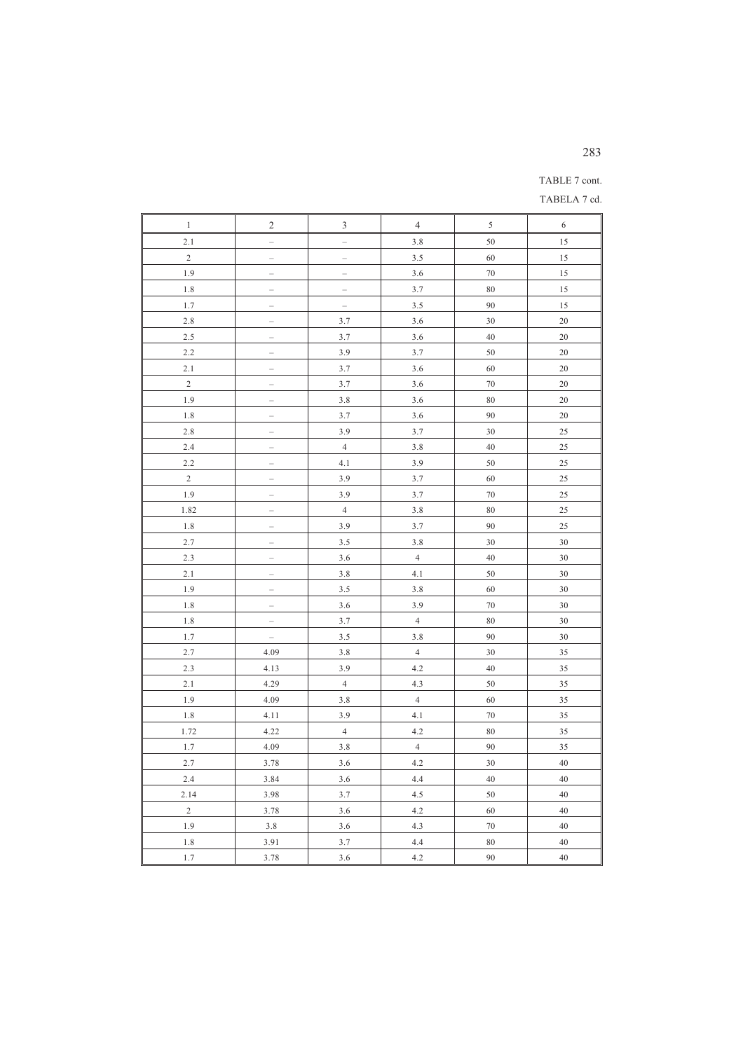# 283

# TABLE 7 cont.

TABELA 7 cd.

| $\mathbf{1}$   | $\overline{\mathbf{c}}$  | 3                        | $\overline{4}$ | 5        | 6      |
|----------------|--------------------------|--------------------------|----------------|----------|--------|
| 2.1            | Ľ.                       | L.                       | 3.8            | 50       | 15     |
| $\overline{c}$ |                          | $\overline{\phantom{0}}$ | 3.5            | 60       | 15     |
| 1.9            |                          | $\overline{\phantom{0}}$ | 3.6            | $70\,$   | 15     |
| $1.8\,$        | $\equiv$                 | $\equiv$                 | 3.7            | $\rm 80$ | 15     |
| 1.7            | L.                       | $\bar{ }$                | 3.5            | 90       | 15     |
| 2.8            | $\overline{\phantom{0}}$ | 3.7                      | 3.6            | 30       | 20     |
| 2.5            |                          | 3.7                      | 3.6            | 40       | 20     |
| 2.2            | $\overline{\phantom{0}}$ | 3.9                      | 3.7            | 50       | 20     |
| 2.1            |                          | 3.7                      | 3.6            | 60       | $20\,$ |
| $\overline{2}$ | L                        | 3.7                      | 3.6            | $70\,$   | 20     |
| 1.9            | $\qquad \qquad -$        | 3.8                      | 3.6            | $\rm 80$ | $20\,$ |
| 1.8            |                          | 3.7                      | 3.6            | 90       | 20     |
| 2.8            |                          | 3.9                      | 3.7            | 30       | 25     |
| 2.4            | ÷                        | $\sqrt{4}$               | $3.8\,$        | $40\,$   | $25\,$ |
| 2.2            | Ľ.                       | 4.1                      | 3.9            | 50       | 25     |
| $\mathbf{2}$   | $\overline{a}$           | 3.9                      | 3.7            | 60       | 25     |
| 1.9            | $\qquad \qquad -$        | 3.9                      | 3.7            | $70\,$   | 25     |
| 1.82           | $\overline{a}$           | $\overline{4}$           | 3.8            | $\rm 80$ | 25     |
| 1.8            | $\overline{\phantom{0}}$ | 3.9                      | 3.7            | 90       | 25     |
| 2.7            |                          | 3.5                      | 3.8            | 30       | 30     |
| 2.3            |                          | 3.6                      | $\overline{4}$ | $40\,$   | 30     |
| 2.1            | $\equiv$                 | 3.8                      | 4.1            | 50       | 30     |
| 1.9            |                          | 3.5                      | 3.8            | 60       | 30     |
| 1.8            | L                        | 3.6                      | 3.9            | 70       | 30     |
| $1.8\,$        | $\overline{a}$           | 3.7                      | $\overline{4}$ | 80       | 30     |
| 1.7            | $\overline{\phantom{0}}$ | 3.5                      | 3.8            | 90       | 30     |
| 2.7            | 4.09                     | 3.8                      | $\overline{4}$ | 30       | 35     |
| 2.3            | 4.13                     | 3.9                      | 4.2            | $40\,$   | 35     |
| 2.1            | 4.29                     | $\overline{4}$           | 4.3            | 50       | 35     |
| 1.9            | 4.09                     | 3.8                      | $\overline{4}$ | 60       | 35     |
| $1.8\,$        | 4.11                     | 3.9                      | 4.1            | $70\,$   | 35     |
| 1.72           | 4.22                     | $\overline{4}$           | 4.2            | $\rm 80$ | 35     |
| 1.7            | 4.09                     | 3.8                      | $\overline{4}$ | 90       | 35     |
| 2.7            | 3.78                     | 3.6                      | 4.2            | 30       | 40     |
| 2.4            | 3.84                     | 3.6                      | 4.4            | 40       | 40     |
| 2.14           | 3.98                     | 3.7                      | 4.5            | 50       | 40     |
| $\sqrt{2}$     | 3.78                     | 3.6                      | 4.2            | 60       | 40     |
| 1.9            | 3.8                      | 3.6                      | 4.3            | $70\,$   | 40     |
| 1.8            | 3.91                     | 3.7                      | 4.4            | $\rm 80$ | $40\,$ |
| 1.7            | 3.78                     | 3.6                      | 4.2            | 90       | 40     |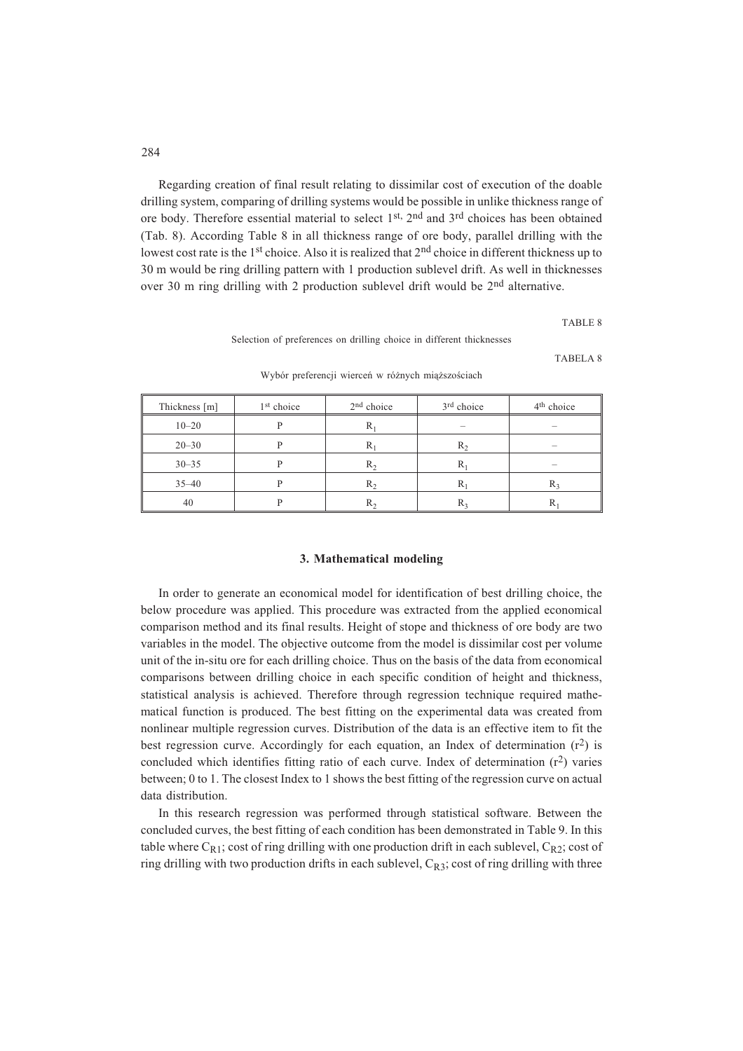Regarding creation of final result relating to dissimilar cost of execution of the doable drilling system, comparing of drilling systems would be possible in unlike thickness range of ore body. Therefore essential material to select 1st, 2nd and 3rd choices has been obtained (Tab. 8). According Table 8 in all thickness range of ore body, parallel drilling with the lowest cost rate is the  $1<sup>st</sup>$  choice. Also it is realized that  $2<sup>nd</sup>$  choice in different thickness up to 30 m would be ring drilling pattern with 1 production sublevel drift. As well in thicknesses over 30 m ring drilling with 2 production sublevel drift would be 2<sup>nd</sup> alternative.

TABLE 8

Selection of preferences on drilling choice in different thicknesses

TABELA 8

| Thickness [m] | 1 <sup>st</sup> choice | 2 <sup>nd</sup> choice | 3 <sup>rd</sup> choice   | 4 <sup>th</sup> choice   |
|---------------|------------------------|------------------------|--------------------------|--------------------------|
| $10 - 20$     | D                      | $R_1$                  | $\overline{\phantom{a}}$ | $\overline{\phantom{a}}$ |
| $20 - 30$     |                        | $R_1$                  | $R_2$                    | $\overline{\phantom{a}}$ |
| $30 - 35$     |                        | $R_2$                  | $R_1$                    |                          |
| $35 - 40$     |                        | $R_2$                  | $R_1$                    | $R_3$                    |
| 40            |                        | $R_{2}$                | $R_3$                    | ĸ                        |

Wybór preferencji wierceń w różnych miąższościach

### **3. Mathematical modeling**

In order to generate an economical model for identification of best drilling choice, the below procedure was applied. This procedure was extracted from the applied economical comparison method and its final results. Height of stope and thickness of ore body are two variables in the model. The objective outcome from the model is dissimilar cost per volume unit of the in-situ ore for each drilling choice. Thus on the basis of the data from economical comparisons between drilling choice in each specific condition of height and thickness, statistical analysis is achieved. Therefore through regression technique required mathematical function is produced. The best fitting on the experimental data was created from nonlinear multiple regression curves. Distribution of the data is an effective item to fit the best regression curve. Accordingly for each equation, an Index of determination  $(r^2)$  is concluded which identifies fitting ratio of each curve. Index of determination  $(r^2)$  varies between; 0 to 1. The closest Index to 1 shows the best fitting of the regression curve on actual data distribution.

In this research regression was performed through statistical software. Between the concluded curves, the best fitting of each condition has been demonstrated in Table 9. In this table where  $C_{R1}$ ; cost of ring drilling with one production drift in each sublevel,  $C_{R2}$ ; cost of ring drilling with two production drifts in each sublevel,  $C_{R3}$ ; cost of ring drilling with three

284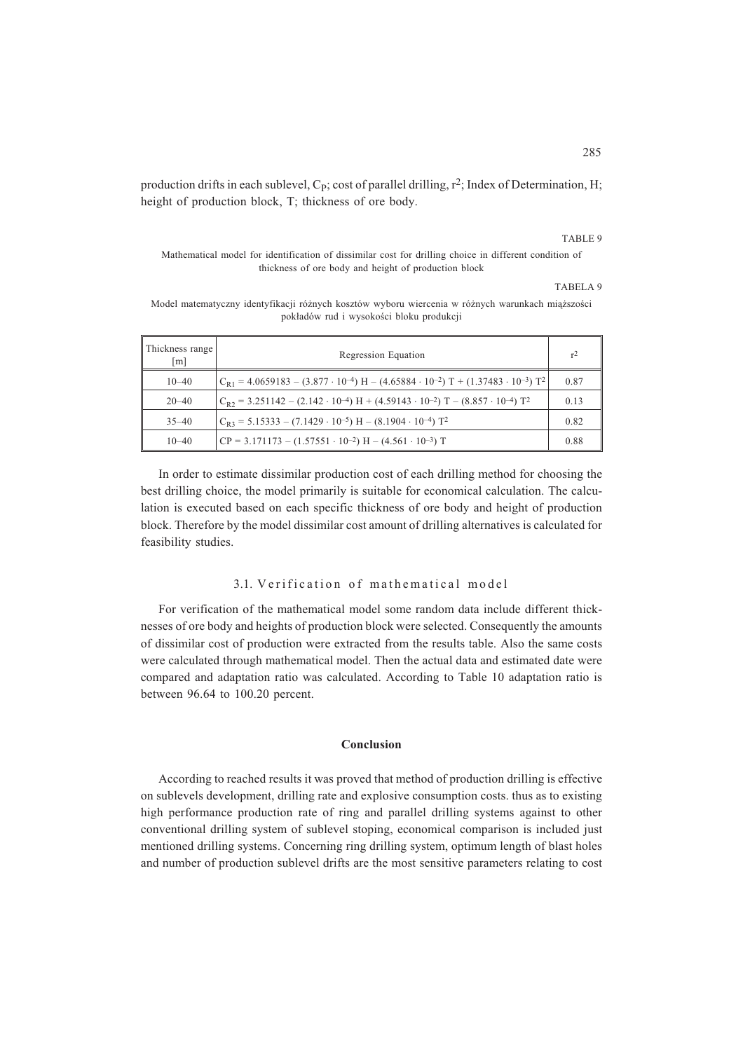production drifts in each sublevel,  $C_P$ ; cost of parallel drilling,  $r^2$ ; Index of Determination, H; height of production block, T; thickness of ore body.

## TABLE 9

Mathematical model for identification of dissimilar cost for drilling choice in different condition of thickness of ore body and height of production block

TABELA 9

Model matematyczny identyfikacji różnych kosztów wyboru wiercenia w różnych warunkach miąższości pokładów rud i wysokości bloku produkcji

| Thickness range<br>$\lceil m \rceil$ | Regression Equation                                                                                                                | r <sup>2</sup> |
|--------------------------------------|------------------------------------------------------------------------------------------------------------------------------------|----------------|
| $10 - 40$                            | $C_{R1} = 4.0659183 - (3.877 \cdot 10^{-4})$ H – $(4.65884 \cdot 10^{-2})$ T + $(1.37483 \cdot 10^{-3})$ T <sup>2</sup>            | 0.87           |
| $20 - 40$                            | $C_{R2}$ = 3.251142 – (2.142 · 10 <sup>-4</sup> ) H + (4.59143 · 10 <sup>-2</sup> ) T – (8.857 · 10 <sup>-4</sup> ) T <sup>2</sup> | 0.13           |
| $35 - 40$                            | $C_{R3} = 5.15333 - (7.1429 \cdot 10^{-5})$ H $- (8.1904 \cdot 10^{-4})$ T <sup>2</sup>                                            | 0.82           |
| $10 - 40$                            | $\text{CP} = 3.171173 - (1.57551 \cdot 10^{-2}) \text{ H} - (4.561 \cdot 10^{-3}) \text{ T}$                                       | 0.88           |

In order to estimate dissimilar production cost of each drilling method for choosing the best drilling choice, the model primarily is suitable for economical calculation. The calculation is executed based on each specific thickness of ore body and height of production block. Therefore by the model dissimilar cost amount of drilling alternatives is calculated for feasibility studies.

# 3.1. Verification of mathematical model

For verification of the mathematical model some random data include different thicknesses of ore body and heights of production block were selected. Consequently the amounts of dissimilar cost of production were extracted from the results table. Also the same costs were calculated through mathematical model. Then the actual data and estimated date were compared and adaptation ratio was calculated. According to Table 10 adaptation ratio is between 96.64 to 100.20 percent.

# **Conclusion**

According to reached results it was proved that method of production drilling is effective on sublevels development, drilling rate and explosive consumption costs. thus as to existing high performance production rate of ring and parallel drilling systems against to other conventional drilling system of sublevel stoping, economical comparison is included just mentioned drilling systems. Concerning ring drilling system, optimum length of blast holes and number of production sublevel drifts are the most sensitive parameters relating to cost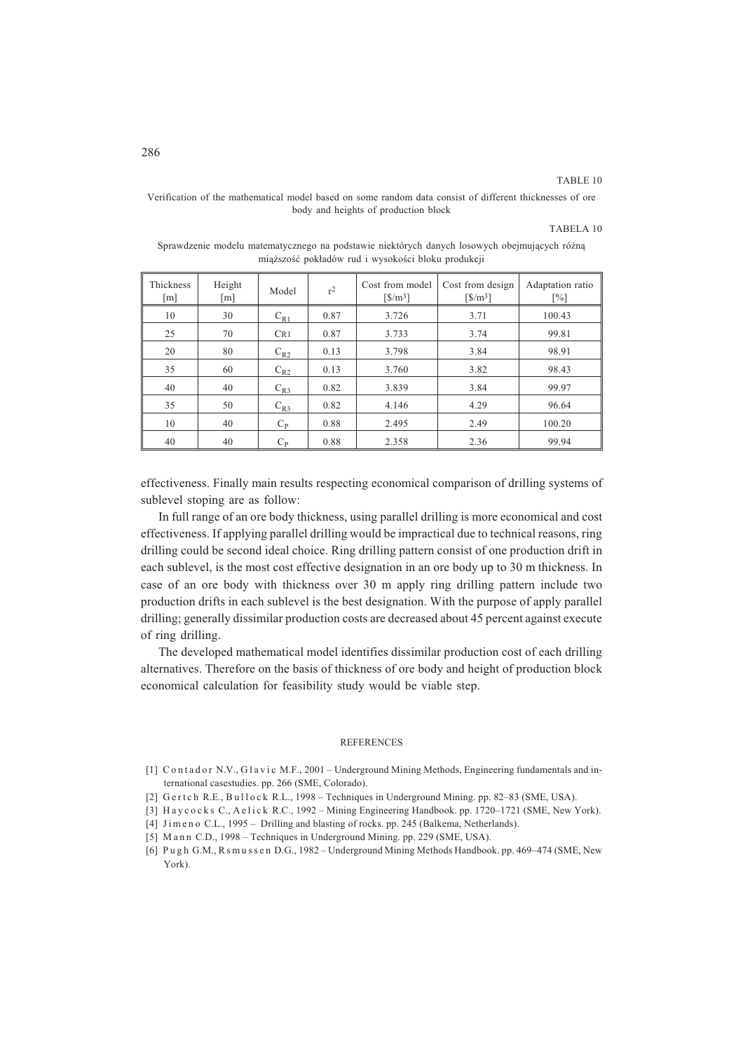#### TABLE 10

TABELA 10

| Thickness<br>$\lceil m \rceil$ | Height<br>[m] | Model       | r <sup>2</sup> | Cost from model<br>$\left[\frac{\text{S}}{\text{m}^3}\right]$ | Cost from design<br>$\left[\frac{\text{S}}{\text{m}^3}\right]$ | Adaptation ratio<br>$\lceil\% \rceil$ |
|--------------------------------|---------------|-------------|----------------|---------------------------------------------------------------|----------------------------------------------------------------|---------------------------------------|
| 10                             | 30            | $C_{R1}$    | 0.87           | 3.726                                                         | 3.71                                                           | 100.43                                |
| 25                             | 70            | CR1         | 0.87           | 3.733                                                         | 3.74                                                           | 99.81                                 |
| 20                             | 80            | $C_{R2}$    | 0.13           | 3.798                                                         | 3.84                                                           | 98.91                                 |
| 35                             | 60            | $C_{R2}$    | 0.13           | 3.760                                                         | 3.82                                                           | 98.43                                 |
| 40                             | 40            | $C_{R3}$    | 0.82           | 3.839                                                         | 3.84                                                           | 99.97                                 |
| 35                             | 50            | $C_{R3}$    | 0.82           | 4.146                                                         | 4.29                                                           | 96.64                                 |
| 10                             | 40            | $C_{\rm p}$ | 0.88           | 2.495                                                         | 2.49                                                           | 100.20                                |
| 40                             | 40            | $C_{\rm P}$ | 0.88           | 2.358                                                         | 2.36                                                           | 99.94                                 |

Verification of the mathematical model based on some random data consist of different thicknesses of ore body and heights of production block

## Sprawdzenie modelu matematycznego na podstawie niektórych danych losowych obejmujących różną miąższość pokładów rud i wysokości bloku produkcji

effectiveness. Finally main results respecting economical comparison of drilling systems of sublevel stoping are as follow:

In full range of an ore body thickness, using parallel drilling is more economical and cost effectiveness. If applying parallel drilling would be impractical due to technical reasons, ring drilling could be second ideal choice. Ring drilling pattern consist of one production drift in each sublevel, is the most cost effective designation in an ore body up to 30 m thickness. In case of an ore body with thickness over 30 m apply ring drilling pattern include two production drifts in each sublevel is the best designation. With the purpose of apply parallel drilling; generally dissimilar production costs are decreased about 45 percent against execute of ring drilling.

The developed mathematical model identifies dissimilar production cost of each drilling alternatives. Therefore on the basis of thickness of ore body and height of production block economical calculation for feasibility study would be viable step.

### REFERENCES

- [1] C o n t a d o r N.V., G l a v i c M.F., 2001 Underground Mining Methods, Engineering fundamentals and international casestudies. pp. 266 (SME, Colorado).
- [2] G e rt c h R.E., Bu l l o c k R.L., 1998 Techniques in Underground Mining. pp. 82-83 (SME, USA).
- [3] H a y c o c k s C., A e l i c k R.C., 1992 Mining Engineering Handbook. pp. 1720–1721 (SME, New York).
- [4] Jimeno C.L., 1995 Drilling and blasting of rocks. pp. 245 (Balkema, Netherlands).
- [5] Mann C.D., 1998 Techniques in Underground Mining. pp. 229 (SME, USA).

<sup>[6]</sup> P u g h G.M., R s m u s s e n D.G., 1982 – Underground Mining Methods Handbook. pp. 469–474 (SME, New York).